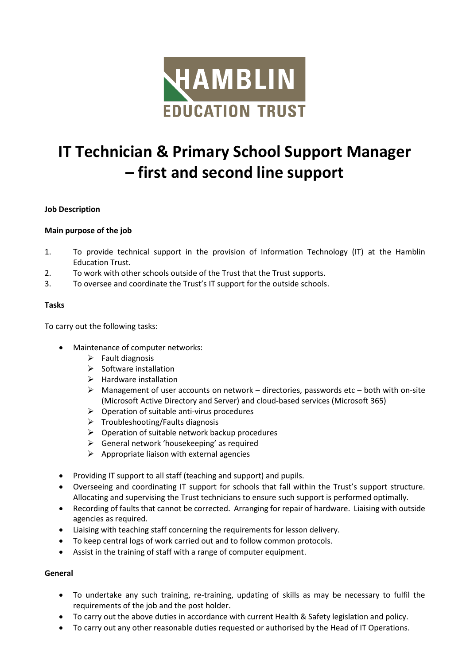

# **IT Technician & Primary School Support Manager – first and second line support**

## **Job Description**

### **Main purpose of the job**

- 1. To provide technical support in the provision of Information Technology (IT) at the Hamblin Education Trust.
- 2. To work with other schools outside of the Trust that the Trust supports.
- 3. To oversee and coordinate the Trust's IT support for the outside schools.

#### **Tasks**

To carry out the following tasks:

- Maintenance of computer networks:
	- $\triangleright$  Fault diagnosis
	- $\triangleright$  Software installation
	- ➢ Hardware installation
	- $\triangleright$  Management of user accounts on network directories, passwords etc both with on-site (Microsoft Active Directory and Server) and cloud-based services (Microsoft 365)
	- $\triangleright$  Operation of suitable anti-virus procedures
	- $\triangleright$  Troubleshooting/Faults diagnosis
	- $\triangleright$  Operation of suitable network backup procedures
	- $\triangleright$  General network 'housekeeping' as required
	- $\triangleright$  Appropriate liaison with external agencies
- Providing IT support to all staff (teaching and support) and pupils.
- Overseeing and coordinating IT support for schools that fall within the Trust's support structure. Allocating and supervising the Trust technicians to ensure such support is performed optimally.
- Recording of faults that cannot be corrected. Arranging for repair of hardware. Liaising with outside agencies as required.
- Liaising with teaching staff concerning the requirements for lesson delivery.
- To keep central logs of work carried out and to follow common protocols.
- Assist in the training of staff with a range of computer equipment.

#### **General**

- To undertake any such training, re-training, updating of skills as may be necessary to fulfil the requirements of the job and the post holder.
- To carry out the above duties in accordance with current Health & Safety legislation and policy.
- To carry out any other reasonable duties requested or authorised by the Head of IT Operations.